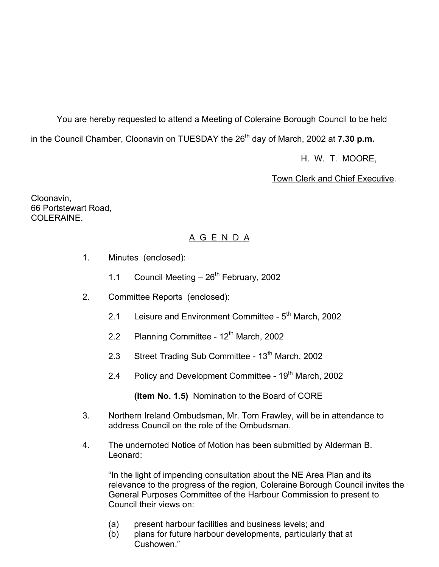You are hereby requested to attend a Meeting of Coleraine Borough Council to be held in the Council Chamber, Cloonavin on TUESDAY the 26<sup>th</sup> day of March, 2002 at **7.30 p.m.** 

H. W. T. MOORE,

Town Clerk and Chief Executive.

Cloonavin, 66 Portstewart Road, COLERAINE.

## A G E N D A

- 1. Minutes (enclosed):
	- 1.1 Council Meeting  $-26<sup>th</sup>$  February, 2002
- 2. Committee Reports (enclosed):
	- 2.1 Leisure and Environment Committee  $5<sup>th</sup>$  March, 2002
	- 2.2 Planning Committee  $12<sup>th</sup>$  March, 2002
	- 2.3 Street Trading Sub Committee 13<sup>th</sup> March, 2002
	- 2.4 Policy and Development Committee 19<sup>th</sup> March, 2002

**(Item No. 1.5)** Nomination to the Board of CORE

- 3. Northern Ireland Ombudsman, Mr. Tom Frawley, will be in attendance to address Council on the role of the Ombudsman.
- 4. The undernoted Notice of Motion has been submitted by Alderman B. Leonard:

 "In the light of impending consultation about the NE Area Plan and its relevance to the progress of the region, Coleraine Borough Council invites the General Purposes Committee of the Harbour Commission to present to Council their views on:

- (a) present harbour facilities and business levels; and
- (b) plans for future harbour developments, particularly that at Cushowen."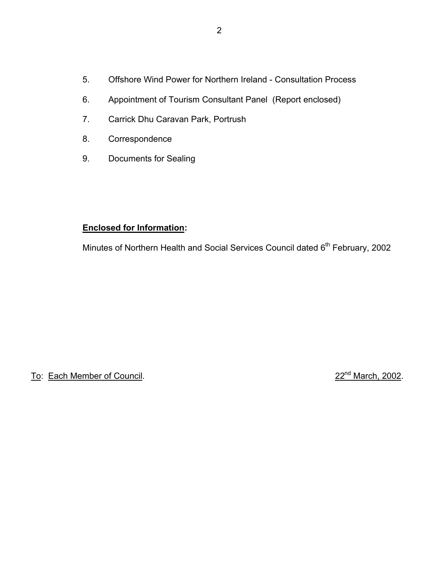- 5. Offshore Wind Power for Northern Ireland Consultation Process
- 6. Appointment of Tourism Consultant Panel (Report enclosed)
- 7. Carrick Dhu Caravan Park, Portrush
- 8. Correspondence
- 9. Documents for Sealing

## **Enclosed for Information:**

Minutes of Northern Health and Social Services Council dated 6<sup>th</sup> February, 2002

To: Each Member of Council. 22nd March, 2002.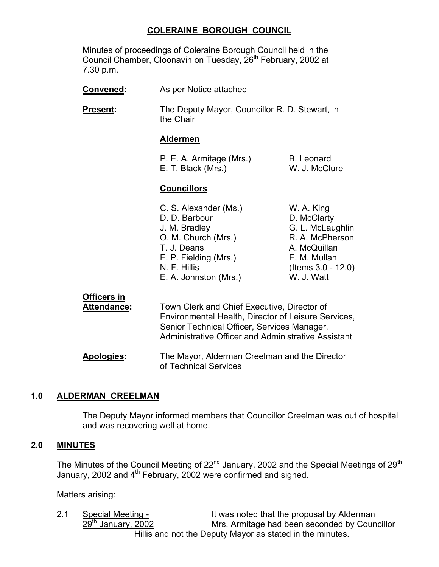## **COLERAINE BOROUGH COUNCIL**

 Minutes of proceedings of Coleraine Borough Council held in the Council Chamber, Cloonavin on Tuesday, 26<sup>th</sup> February, 2002 at 7.30 p.m.

| Convened:                  | As per Notice attached                                                                                                                                                                                   |                                                                                                                                         |
|----------------------------|----------------------------------------------------------------------------------------------------------------------------------------------------------------------------------------------------------|-----------------------------------------------------------------------------------------------------------------------------------------|
| Present:                   | The Deputy Mayor, Councillor R. D. Stewart, in<br>the Chair                                                                                                                                              |                                                                                                                                         |
|                            | <b>Aldermen</b>                                                                                                                                                                                          |                                                                                                                                         |
|                            | P. E. A. Armitage (Mrs.)<br>E. T. Black (Mrs.)                                                                                                                                                           | <b>B.</b> Leonard<br>W. J. McClure                                                                                                      |
|                            | <b>Councillors</b>                                                                                                                                                                                       |                                                                                                                                         |
|                            | C. S. Alexander (Ms.)<br>D. D. Barbour<br>J. M. Bradley<br>O. M. Church (Mrs.)<br>T. J. Deans<br>E. P. Fielding (Mrs.)<br>N. F. Hillis<br>E. A. Johnston (Mrs.)                                          | W. A. King<br>D. McClarty<br>G. L. McLaughlin<br>R. A. McPherson<br>A. McQuillan<br>E. M. Mullan<br>(Items $3.0 - 12.0$ )<br>W. J. Watt |
| Officers in<br>Attendance: | Town Clerk and Chief Executive, Director of<br>Environmental Health, Director of Leisure Services,<br>Senior Technical Officer, Services Manager,<br>Administrative Officer and Administrative Assistant |                                                                                                                                         |

 **Apologies:** The Mayor, Alderman Creelman and the Director of Technical Services

### **1.0 ALDERMAN CREELMAN**

The Deputy Mayor informed members that Councillor Creelman was out of hospital and was recovering well at home.

## **2.0 MINUTES**

The Minutes of the Council Meeting of  $22<sup>nd</sup>$  January, 2002 and the Special Meetings of  $29<sup>th</sup>$ January, 2002 and  $4<sup>th</sup>$  February, 2002 were confirmed and signed.

Matters arising:

2.1 Special Meeting - It was noted that the proposal by Alderman 29<sup>th</sup> January, 2002 Mrs. Armitage had been seconded by Coun Mrs. Armitage had been seconded by Councillor Hillis and not the Deputy Mayor as stated in the minutes.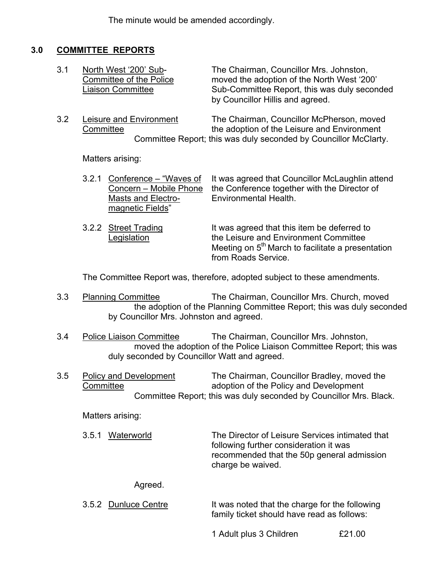The minute would be amended accordingly.

## **3.0 COMMITTEE REPORTS**

| 3.1 | North West '200' Sub-<br>Committee of the Police<br><b>Liaison Committee</b> | The Chairman, Councillor Mrs. Johnston,<br>moved the adoption of the North West '200'<br>Sub-Committee Report, this was duly seconded<br>by Councillor Hillis and agreed. |
|-----|------------------------------------------------------------------------------|---------------------------------------------------------------------------------------------------------------------------------------------------------------------------|
|     |                                                                              |                                                                                                                                                                           |

 3.2 Leisure and Environment The Chairman, Councillor McPherson, moved Committee the adoption of the Leisure and Environment Committee Report; this was duly seconded by Councillor McClarty.

Matters arising:

|                    | 3.2.1 Conference – "Waves of It was agreed that Councillor McLaughlin attend |
|--------------------|------------------------------------------------------------------------------|
|                    | Concern – Mobile Phone the Conference together with the Director of          |
| Masts and Electro- | Environmental Health.                                                        |
| magnetic Fields"   |                                                                              |
|                    |                                                                              |

3.2.2 Street Trading It was agreed that this item be deferred to Legislation **the Leisure and Environment Committee** Meeting on  $5<sup>th</sup>$  March to facilitate a presentation from Roads Service.

The Committee Report was, therefore, adopted subject to these amendments.

- 3.3 Planning Committee The Chairman, Councillor Mrs. Church, moved the adoption of the Planning Committee Report; this was duly seconded by Councillor Mrs. Johnston and agreed.
- 3.4 Police Liaison Committee The Chairman, Councillor Mrs. Johnston, moved the adoption of the Police Liaison Committee Report; this was duly seconded by Councillor Watt and agreed.
- 3.5 Policy and Development The Chairman, Councillor Bradley, moved the Committee adoption of the Policy and Development Committee Report; this was duly seconded by Councillor Mrs. Black.

Matters arising:

| 3.5.1 Waterworld | The Director of Leisure Services intimated that<br>following further consideration it was<br>recommended that the 50p general admission |
|------------------|-----------------------------------------------------------------------------------------------------------------------------------------|
|                  | charge be waived.                                                                                                                       |

## Agreed.

| 3.5.2 Dunluce Centre | It was noted that the charge for the following |
|----------------------|------------------------------------------------|
|                      | family ticket should have read as follows:     |

1 Adult plus 3 Children £21.00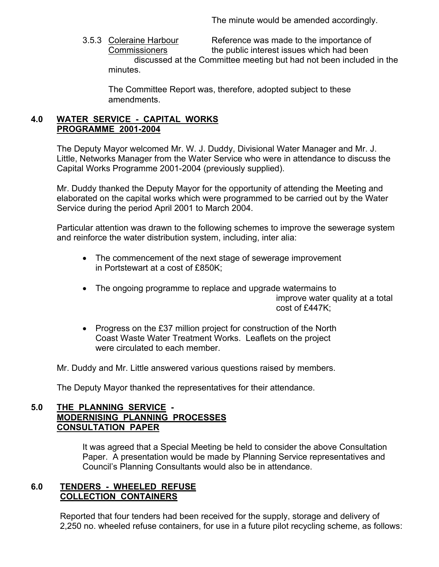The minute would be amended accordingly.

 3.5.3 Coleraine Harbour Reference was made to the importance of Commissioners the public interest issues which had been discussed at the Committee meeting but had not been included in the minutes.

 The Committee Report was, therefore, adopted subject to these amendments.

## **4.0 WATER SERVICE - CAPITAL WORKS PROGRAMME 2001-2004**

 The Deputy Mayor welcomed Mr. W. J. Duddy, Divisional Water Manager and Mr. J. Little, Networks Manager from the Water Service who were in attendance to discuss the Capital Works Programme 2001-2004 (previously supplied).

 Mr. Duddy thanked the Deputy Mayor for the opportunity of attending the Meeting and elaborated on the capital works which were programmed to be carried out by the Water Service during the period April 2001 to March 2004.

 Particular attention was drawn to the following schemes to improve the sewerage system and reinforce the water distribution system, including, inter alia:

- The commencement of the next stage of sewerage improvement in Portstewart at a cost of £850K;
- The ongoing programme to replace and upgrade watermains to improve water quality at a total cost of £447K;
- Progress on the £37 million project for construction of the North Coast Waste Water Treatment Works. Leaflets on the project were circulated to each member.

Mr. Duddy and Mr. Little answered various questions raised by members.

The Deputy Mayor thanked the representatives for their attendance.

## **5.0 THE PLANNING SERVICE - MODERNISING PLANNING PROCESSES CONSULTATION PAPER**

It was agreed that a Special Meeting be held to consider the above Consultation Paper. A presentation would be made by Planning Service representatives and Council's Planning Consultants would also be in attendance.

### **6.0 TENDERS - WHEELED REFUSE COLLECTION CONTAINERS**

 Reported that four tenders had been received for the supply, storage and delivery of 2,250 no. wheeled refuse containers, for use in a future pilot recycling scheme, as follows: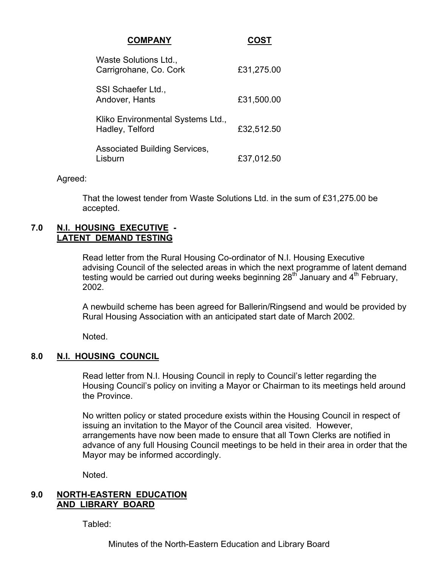| <b>COMPANY</b>                                       |            |
|------------------------------------------------------|------------|
| Waste Solutions Ltd.,<br>Carrigrohane, Co. Cork      | £31,275.00 |
| SSI Schaefer Ltd.,<br>Andover, Hants                 | £31,500.00 |
| Kliko Environmental Systems Ltd.,<br>Hadley, Telford | £32,512.50 |
| <b>Associated Building Services,</b><br>Lisburn      | £37,012.50 |

#### Agreed:

 That the lowest tender from Waste Solutions Ltd. in the sum of £31,275.00 be accepted.

#### **7.0 N.I. HOUSING EXECUTIVE - LATENT DEMAND TESTING**

 Read letter from the Rural Housing Co-ordinator of N.I. Housing Executive advising Council of the selected areas in which the next programme of latent demand testing would be carried out during weeks beginning  $28<sup>th</sup>$  January and  $4<sup>th</sup>$  February, 2002.

A newbuild scheme has been agreed for Ballerin/Ringsend and would be provided by Rural Housing Association with an anticipated start date of March 2002.

Noted.

### **8.0 N.I. HOUSING COUNCIL**

 Read letter from N.I. Housing Council in reply to Council's letter regarding the Housing Council's policy on inviting a Mayor or Chairman to its meetings held around the Province.

 No written policy or stated procedure exists within the Housing Council in respect of issuing an invitation to the Mayor of the Council area visited. However, arrangements have now been made to ensure that all Town Clerks are notified in advance of any full Housing Council meetings to be held in their area in order that the Mayor may be informed accordingly.

Noted.

#### **9.0 NORTH-EASTERN EDUCATION AND LIBRARY BOARD**

Tabled:

Minutes of the North-Eastern Education and Library Board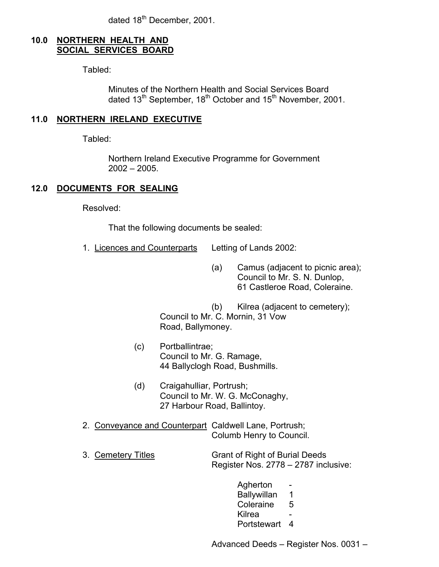dated 18<sup>th</sup> December, 2001.

## **10.0 NORTHERN HEALTH AND SOCIAL SERVICES BOARD**

Tabled:

 Minutes of the Northern Health and Social Services Board dated 13<sup>th</sup> September, 18<sup>th</sup> October and 15<sup>th</sup> November, 2001.

## **11.0 NORTHERN IRELAND EXECUTIVE**

Tabled:

 Northern Ireland Executive Programme for Government 2002 – 2005.

## **12.0 DOCUMENTS FOR SEALING**

Resolved:

That the following documents be sealed:

- 1. Licences and Counterparts Letting of Lands 2002:
	- (a) Camus (adjacent to picnic area); Council to Mr. S. N. Dunlop, 61 Castleroe Road, Coleraine.

 (b) Kilrea (adjacent to cemetery); Council to Mr. C. Mornin, 31 Vow Road, Ballymoney.

- (c) Portballintrae; Council to Mr. G. Ramage, 44 Ballyclogh Road, Bushmills.
- (d) Craigahulliar, Portrush; Council to Mr. W. G. McConaghy, 27 Harbour Road, Ballintoy.
- 2. Conveyance and Counterpart Caldwell Lane, Portrush; Columb Henry to Council.
- 3. Cemetery Titles Grant of Right of Burial Deeds Register Nos. 2778 – 2787 inclusive:
- Agherton Ballywillan 1 Coleraine 5 e de la construcción de la construcción de la construcción de la construcción de la construcción de la constru Portstewart 4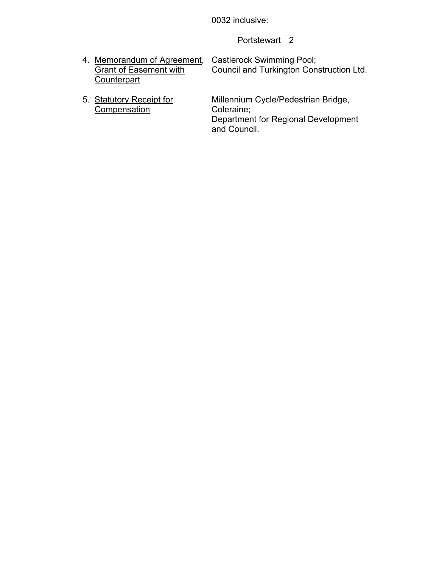0032 inclusive:

Portstewart 2

| 4. Memorandum of Agreement, Castlerock Swimming Pool; |                                          |
|-------------------------------------------------------|------------------------------------------|
| <b>Grant of Easement with</b>                         | Council and Turkington Construction Ltd. |
| Counterpart                                           |                                          |
|                                                       |                                          |

5. Statutory Receipt for<br>Compensation

Millennium Cycle/Pedestrian Bridge,<br>Coleraine; Department for Regional Development and Council. The contract of the contract of the contract of the contract of the contract of the contract of t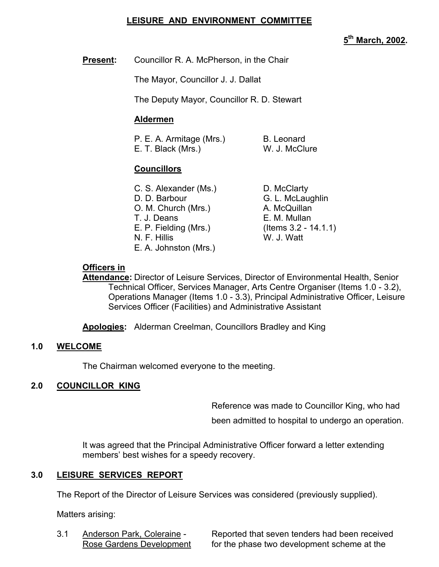## **LEISURE AND ENVIRONMENT COMMITTEE**

**5th March, 2002.** 

**Present:** Councillor R. A. McPherson, in the Chair

The Mayor, Councillor J. J. Dallat

The Deputy Mayor, Councillor R. D. Stewart

## **Aldermen**

| P. E. A. Armitage (Mrs.) | B. Leonard    |
|--------------------------|---------------|
| E. T. Black (Mrs.)       | W. J. McClure |

## **Councillors**

| C. S. Alexander (Ms.) |
|-----------------------|
| D. D. Barbour         |
| O. M. Church (Mrs.)   |
| T. J. Deans           |
| E. P. Fielding (Mrs.) |
| N. F. Hillis          |
| E. A. Johnston (Mrs.) |

D. McClarty G. L. McLaughlin A. McQuillan E. M. Mullan  $($  Items 3.2 - 14.1.1) W. J. Watt

## **Officers in**

 **Attendance:** Director of Leisure Services, Director of Environmental Health, Senior Technical Officer, Services Manager, Arts Centre Organiser (Items 1.0 - 3.2), Operations Manager (Items 1.0 - 3.3), Principal Administrative Officer, Leisure Services Officer (Facilities) and Administrative Assistant

**Apologies:** Alderman Creelman, Councillors Bradley and King

## **1.0 WELCOME**

The Chairman welcomed everyone to the meeting.

## **2.0 COUNCILLOR KING**

Reference was made to Councillor King, who had

been admitted to hospital to undergo an operation.

It was agreed that the Principal Administrative Officer forward a letter extending members' best wishes for a speedy recovery.

## **3.0 LEISURE SERVICES REPORT**

The Report of the Director of Leisure Services was considered (previously supplied).

Matters arising:

 3.1 Anderson Park, Coleraine - Reported that seven tenders had been received Rose Gardens Development for the phase two development scheme at the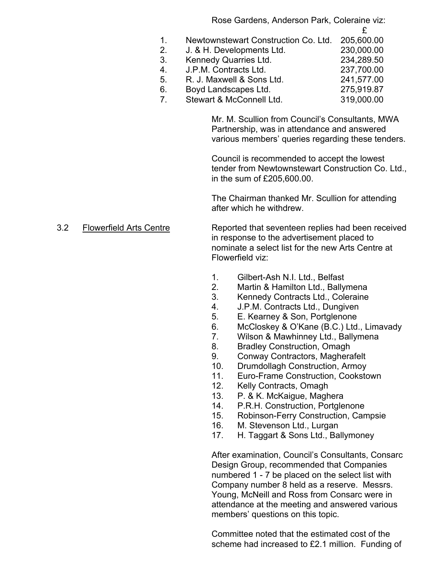Rose Gardens, Anderson Park, Coleraine viz:

- $\mathfrak{L}$  1. Newtownstewart Construction Co. Ltd. 205,600.00
	- 2. J. & H. Developments Ltd. 230,000.00
	- 3. Kennedy Quarries Ltd. 234,289.50 4. J.P.M. Contracts Ltd. 237,700.00 5. R. J. Maxwell & Sons Ltd. 241,577.00
	- 6. Boyd Landscapes Ltd. 275,919.87
	- 7. Stewart & McConnell Ltd. 319,000.00

Mr. M. Scullion from Council's Consultants, MWA Partnership, was in attendance and answered various members' queries regarding these tenders.

Council is recommended to accept the lowest tender from Newtownstewart Construction Co. Ltd., in the sum of £205,600.00.

The Chairman thanked Mr. Scullion for attending after which he withdrew.

3.2 Flowerfield Arts Centre Reported that seventeen replies had been received in response to the advertisement placed to nominate a select list for the new Arts Centre at Flowerfield viz:

- 1. Gilbert-Ash N.I. Ltd., Belfast
- 2. Martin & Hamilton Ltd., Ballymena
- 3. Kennedy Contracts Ltd., Coleraine
- 4. J.P.M. Contracts Ltd., Dungiven
- 5. E. Kearney & Son, Portglenone
- 6. McCloskey & O'Kane (B.C.) Ltd., Limavady
- 7. Wilson & Mawhinney Ltd., Ballymena
- 8. Bradley Construction, Omagh
- 9. Conway Contractors, Magherafelt
- 10. Drumdollagh Construction, Armoy
- 11. Euro-Frame Construction, Cookstown
- 12. Kelly Contracts, Omagh
- 13. P. & K. McKaigue, Maghera
- 14. P.R.H. Construction, Portglenone
- 15. Robinson-Ferry Construction, Campsie
- 16. M. Stevenson Ltd., Lurgan
- 17. H. Taggart & Sons Ltd., Ballymoney

After examination, Council's Consultants, Consarc Design Group, recommended that Companies numbered 1 - 7 be placed on the select list with Company number 8 held as a reserve. Messrs. Young, McNeill and Ross from Consarc were in attendance at the meeting and answered various members' questions on this topic.

Committee noted that the estimated cost of the scheme had increased to £2.1 million. Funding of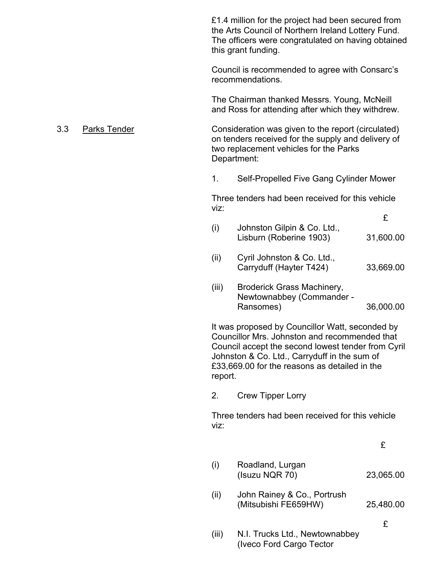£1.4 million for the project had been secured from the Arts Council of Northern Ireland Lottery Fund. The officers were congratulated on having obtained this grant funding.

Council is recommended to agree with Consarc's recommendations.

The Chairman thanked Messrs. Young, McNeill and Ross for attending after which they withdrew.

#### 3.3 Parks Tender Consideration was given to the report (circulated) on tenders received for the supply and delivery of two replacement vehicles for the Parks Department:

1. Self-Propelled Five Gang Cylinder Mower

 Three tenders had been received for this vehicle viz: where the contract of the contract of the contract of the contract of the contract of the contract of the

| Johnston Gilpin & Co. Ltd., |           |
|-----------------------------|-----------|
| Lisburn (Roberine 1903)     | 31,600.00 |
|                             |           |

- (ii) Cyril Johnston & Co. Ltd., Carryduff (Hayter T424) 33,669.00
- (iii) Broderick Grass Machinery, Newtownabbey (Commander - Ransomes) 36,000.00

It was proposed by Councillor Watt, seconded by Councillor Mrs. Johnston and recommended that Council accept the second lowest tender from Cyril Johnston & Co. Ltd., Carryduff in the sum of £33,669.00 for the reasons as detailed in the report.

2. Crew Tipper Lorry

Three tenders had been received for this vehicle viz:

£

| $\sf (i)$ | Roadland, Lurgan<br>(Isuzu NQR 70)                  | 23,065.00 |
|-----------|-----------------------------------------------------|-----------|
| (ii)      | John Rainey & Co., Portrush<br>(Mitsubishi FE659HW) | 25,480.00 |
| (iii)     | N.I. Trucks Ltd., Newtownabbey                      | £         |

(Iveco Ford Cargo Tector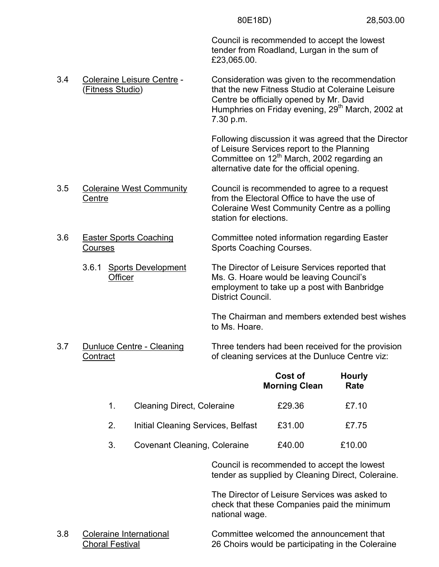Council is recommended to accept the lowest tender from Roadland, Lurgan in the sum of £23,065.00.

 3.4 Coleraine Leisure Centre - Consideration was given to the recommendation (Fitness Studio) that the new Fitness Studio at Coleraine Leisure Centre be officially opened by Mr. David Humphries on Friday evening, 29<sup>th</sup> March, 2002 at 7.30 p.m.

> Following discussion it was agreed that the Director of Leisure Services report to the Planning Committee on 12<sup>th</sup> March, 2002 regarding an alternative date for the official opening.

- 3.5 Coleraine West Community Council is recommended to agree to a request Centre **From the Electoral Office to have the use of** the use of Coleraine West Community Centre as a polling station for elections.
- 3.6 Easter Sports Coaching Committee noted information regarding Easter Courses **Sports Coaching Courses.** 
	- 3.6.1 Sports Development The Director of Leisure Services reported that Officer Ms. G. Hoare would be leaving Council's employment to take up a post with Banbridge District Council.

The Chairman and members extended best wishes to Ms. Hoare.

 3.7 Dunluce Centre - Cleaning Three tenders had been received for the provision Contract **Contract** contract contract contract contract contract contract contract contract contract contract contract contract contract contract contract contract contract contract contract contract contract contract cont

|    |                                     | Cost of<br><b>Morning Clean</b> | <b>Hourly</b><br>Rate |
|----|-------------------------------------|---------------------------------|-----------------------|
|    | <b>Cleaning Direct, Coleraine</b>   | £29.36                          | £7.10                 |
| 2. | Initial Cleaning Services, Belfast  | £31.00                          | £7.75                 |
| 3. | <b>Covenant Cleaning, Coleraine</b> | £40.00                          | £10.00                |

Council is recommended to accept the lowest tender as supplied by Cleaning Direct, Coleraine.

The Director of Leisure Services was asked to check that these Companies paid the minimum national wage.

 3.8 Coleraine International Committee welcomed the announcement that Choral Festival 26 Choirs would be participating in the Coleraine

- -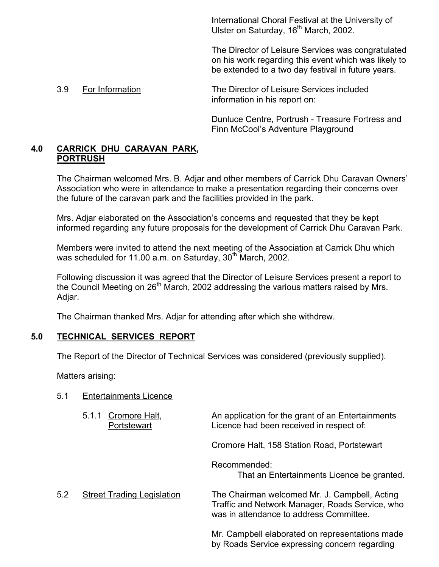International Choral Festival at the University of Ulster on Saturday, 16<sup>th</sup> March, 2002.

The Director of Leisure Services was congratulated on his work regarding this event which was likely to be extended to a two day festival in future years.

 3.9 For Information The Director of Leisure Services included information in his report on:

> Dunluce Centre, Portrush - Treasure Fortress and Finn McCool's Adventure Playground

## **4.0 CARRICK DHU CARAVAN PARK, PORTRUSH**

 The Chairman welcomed Mrs. B. Adjar and other members of Carrick Dhu Caravan Owners' Association who were in attendance to make a presentation regarding their concerns over the future of the caravan park and the facilities provided in the park.

 Mrs. Adjar elaborated on the Association's concerns and requested that they be kept informed regarding any future proposals for the development of Carrick Dhu Caravan Park.

 Members were invited to attend the next meeting of the Association at Carrick Dhu which was scheduled for 11.00 a.m. on Saturday,  $30<sup>th</sup>$  March, 2002.

 Following discussion it was agreed that the Director of Leisure Services present a report to the Council Meeting on  $26<sup>th</sup>$  March, 2002 addressing the various matters raised by Mrs. Adjar.

The Chairman thanked Mrs. Adjar for attending after which she withdrew.

## **5.0 TECHNICAL SERVICES REPORT**

The Report of the Director of Technical Services was considered (previously supplied).

Matters arising:

| 5.1 | <b>Entertainments Licence</b>         |                                                                                                                                             |
|-----|---------------------------------------|---------------------------------------------------------------------------------------------------------------------------------------------|
|     | Cromore Halt,<br>5.1.1<br>Portstewart | An application for the grant of an Entertainments<br>Licence had been received in respect of:                                               |
|     |                                       | Cromore Halt, 158 Station Road, Portstewart                                                                                                 |
|     |                                       | Recommended:<br>That an Entertainments Licence be granted.                                                                                  |
| 5.2 | <b>Street Trading Legislation</b>     | The Chairman welcomed Mr. J. Campbell, Acting<br>Traffic and Network Manager, Roads Service, who<br>was in attendance to address Committee. |
|     |                                       | Mr. Campbell elaborated on representations made                                                                                             |

by Roads Service expressing concern regarding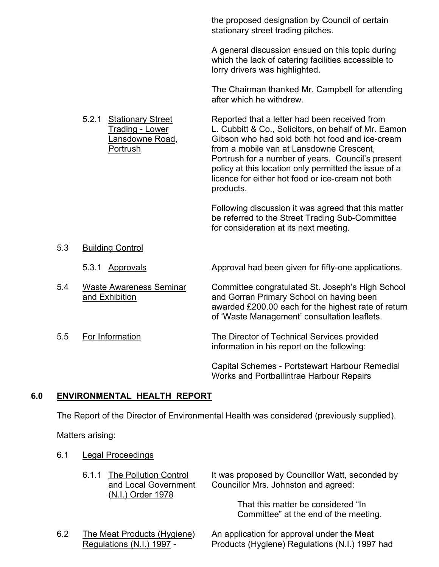the proposed designation by Council of certain stationary street trading pitches.

A general discussion ensued on this topic during which the lack of catering facilities accessible to lorry drivers was highlighted.

The Chairman thanked Mr. Campbell for attending after which he withdrew.

5.2.1 Stationary Street Reported that a letter had been received from Trading - Lower L. Cubbitt & Co., Solicitors, on behalf of Mr. Eamon Lansdowne Road, Gibson who had sold both hot food and ice-cream Portrush from a mobile van at Lansdowne Crescent, Portrush for a number of years. Council's present policy at this location only permitted the issue of a licence for either hot food or ice-cream not both

products.

Following discussion it was agreed that this matter be referred to the Street Trading Sub-Committee for consideration at its next meeting.

 5.3 Building Control 5.3.1 Approvals Approval had been given for fifty-one applications. 5.4 Waste Awareness Seminar Committee congratulated St. Joseph's High School and Exhibition and Gorran Primary School on having been awarded £200.00 each for the highest rate of return of 'Waste Management' consultation leaflets. 5.5 For Information The Director of Technical Services provided information in his report on the following: Capital Schemes - Portstewart Harbour Remedial Works and Portballintrae Harbour Repairs

### **6.0 ENVIRONMENTAL HEALTH REPORT**

The Report of the Director of Environmental Health was considered (previously supplied).

Matters arising:

### 6.1 Legal Proceedings

(N.I.) Order 1978

6.1.1 The Pollution Control It was proposed by Councillor Watt, seconded by and Local Government Councillor Mrs. Johnston and agreed:

> That this matter be considered "In Committee" at the end of the meeting.

6.2 The Meat Products (Hygiene) An application for approval under the Meat Regulations (N.I.) 1997 - Products (Hygiene) Regulations (N.I.) 1997 had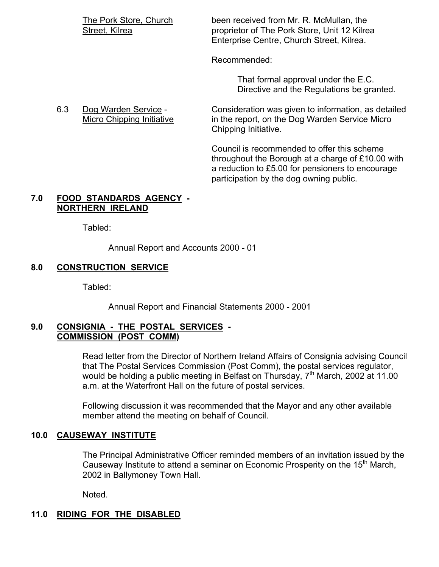The Pork Store, Church been received from Mr. R. McMullan, the Street, Kilrea **proprietor of The Pork Store, Unit 12 Kilrea** Enterprise Centre, Church Street, Kilrea.

Recommended:

 That formal approval under the E.C. Directive and the Regulations be granted.

 6.3 Dog Warden Service - Consideration was given to information, as detailed Micro Chipping Initiative in the report, on the Dog Warden Service Micro Chipping Initiative.

> Council is recommended to offer this scheme throughout the Borough at a charge of £10.00 with a reduction to £5.00 for pensioners to encourage participation by the dog owning public.

#### **7.0 FOOD STANDARDS AGENCY - NORTHERN IRELAND**

Tabled:

Annual Report and Accounts 2000 - 01

### **8.0 CONSTRUCTION SERVICE**

Tabled:

Annual Report and Financial Statements 2000 - 2001

#### **9.0 CONSIGNIA - THE POSTAL SERVICES - COMMISSION (POST COMM)**

 Read letter from the Director of Northern Ireland Affairs of Consignia advising Council that The Postal Services Commission (Post Comm), the postal services regulator, would be holding a public meeting in Belfast on Thursday,  $7<sup>th</sup>$  March, 2002 at 11.00 a.m. at the Waterfront Hall on the future of postal services.

 Following discussion it was recommended that the Mayor and any other available member attend the meeting on behalf of Council.

### **10.0 CAUSEWAY INSTITUTE**

The Principal Administrative Officer reminded members of an invitation issued by the Causeway Institute to attend a seminar on Economic Prosperity on the 15<sup>th</sup> March, 2002 in Ballymoney Town Hall.

Noted.

# **11.0 RIDING FOR THE DISABLED**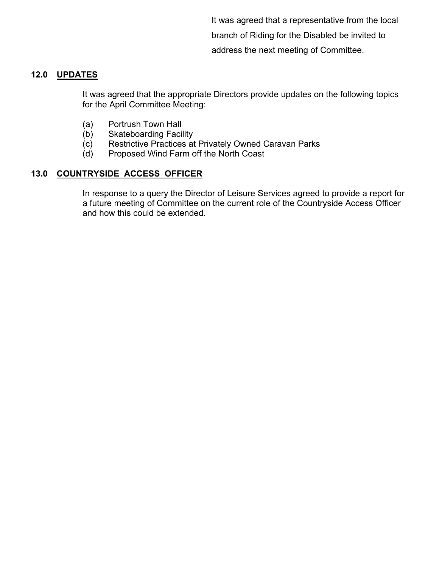It was agreed that a representative from the local branch of Riding for the Disabled be invited to address the next meeting of Committee.

## **12.0 UPDATES**

 It was agreed that the appropriate Directors provide updates on the following topics for the April Committee Meeting:

- (a) Portrush Town Hall
- (b) Skateboarding Facility
- (c) Restrictive Practices at Privately Owned Caravan Parks
- (d) Proposed Wind Farm off the North Coast

## **13.0 COUNTRYSIDE ACCESS OFFICER**

 In response to a query the Director of Leisure Services agreed to provide a report for a future meeting of Committee on the current role of the Countryside Access Officer and how this could be extended.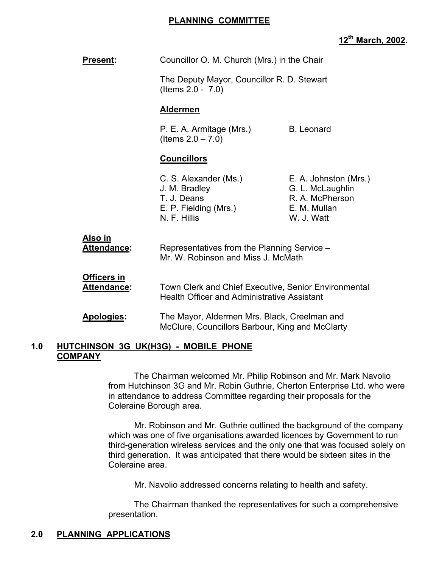## **PLANNING COMMITTEE**

## **12th March, 2002.**

| <b>Present:</b>               | Councillor O. M. Church (Mrs.) in the Chair                                                                                                                                                                   |  |  |
|-------------------------------|---------------------------------------------------------------------------------------------------------------------------------------------------------------------------------------------------------------|--|--|
|                               | The Deputy Mayor, Councillor R. D. Stewart<br>(Items $2.0 - 7.0$ )                                                                                                                                            |  |  |
|                               | <b>Aldermen</b>                                                                                                                                                                                               |  |  |
|                               | <b>B.</b> Leonard<br>P. E. A. Armitage (Mrs.)<br>(Items $2.0 - 7.0$ )                                                                                                                                         |  |  |
|                               | <b>Councillors</b>                                                                                                                                                                                            |  |  |
|                               | C. S. Alexander (Ms.)<br>E. A. Johnston (Mrs.)<br>J. M. Bradley<br>G. L. McLaughlin<br>R. A. McPherson<br>T. J. Deans<br>E. P. Fielding (Mrs.)<br>E. M. Mullan<br>N. F. Hillis<br>W. J. Watt                  |  |  |
| Also in<br><b>Attendance:</b> | Representatives from the Planning Service -<br>Mr. W. Robinson and Miss J. McMath                                                                                                                             |  |  |
| Officers in<br>Attendance:    | Town Clerk and Chief Executive, Senior Environmental<br><b>Health Officer and Administrative Assistant</b><br>The Mayor, Aldermen Mrs. Black, Creelman and<br>McClure, Councillors Barbour, King and McClarty |  |  |
| Apologies:                    |                                                                                                                                                                                                               |  |  |

#### **1.0 HUTCHINSON 3G UK(H3G) - MOBILE PHONE COMPANY**

 The Chairman welcomed Mr. Philip Robinson and Mr. Mark Navolio from Hutchinson 3G and Mr. Robin Guthrie, Cherton Enterprise Ltd. who were in attendance to address Committee regarding their proposals for the Coleraine Borough area.

 Mr. Robinson and Mr. Guthrie outlined the background of the company which was one of five organisations awarded licences by Government to run third-generation wireless services and the only one that was focused solely on third generation. It was anticipated that there would be sixteen sites in the Coleraine area.

Mr. Navolio addressed concerns relating to health and safety.

 The Chairman thanked the representatives for such a comprehensive presentation.

## **2.0 PLANNING APPLICATIONS**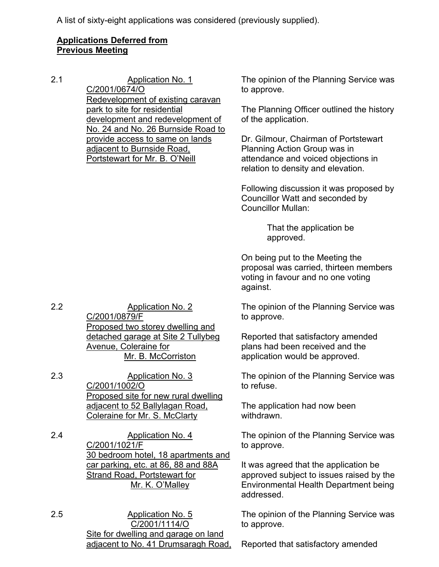A list of sixty-eight applications was considered (previously supplied).

## **Applications Deferred from Previous Meeting**

2.1 Application No. 1 C/2001/0674/O Redevelopment of existing caravan park to site for residential development and redevelopment of No. 24 and No. 26 Burnside Road to provide access to same on lands adjacent to Burnside Road, Portstewart for Mr. B. O'Neill

The opinion of the Planning Service was to approve.

The Planning Officer outlined the history of the application.

Dr. Gilmour, Chairman of Portstewart Planning Action Group was in attendance and voiced objections in relation to density and elevation.

Following discussion it was proposed by Councillor Watt and seconded by Councillor Mullan:

> That the application be approved.

On being put to the Meeting the proposal was carried, thirteen members voting in favour and no one voting against.

The opinion of the Planning Service was to approve.

Reported that satisfactory amended plans had been received and the application would be approved.

The opinion of the Planning Service was to refuse.

The application had now been withdrawn.

The opinion of the Planning Service was to approve.

It was agreed that the application be approved subject to issues raised by the Environmental Health Department being addressed.

The opinion of the Planning Service was to approve.

Reported that satisfactory amended

2.2 Application No. 2 C/2001/0879/F Proposed two storey dwelling and detached garage at Site 2 Tullybeg Avenue, Coleraine for Mr. B. McCorriston

2.3 Application No. 3 C/2001/1002/O Proposed site for new rural dwelling adjacent to 52 Ballylagan Road, Coleraine for Mr. S. McClarty

2.4 Application No. 4 C/2001/1021/F 30 bedroom hotel, 18 apartments and car parking, etc. at 86, 88 and 88A Strand Road, Portstewart for Mr. K. O'Malley

2.5 Application No. 5 C/2001/1114/O Site for dwelling and garage on land adjacent to No. 41 Drumsaragh Road,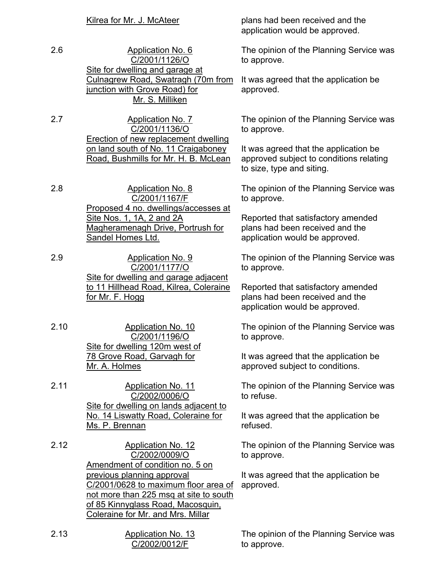2.6 Application No. 6 C/2001/1126/O Site for dwelling and garage at Culnagrew Road, Swatragh (70m from junction with Grove Road) for Mr. S. Milliken

2.7 Application No. 7 C/2001/1136/O Erection of new replacement dwelling on land south of No. 11 Craigaboney Road, Bushmills for Mr. H. B. McLean

- 2.8 Application No. 8 C/2001/1167/F Proposed 4 no. dwellings/accesses at Site Nos. 1, 1A, 2 and 2A Magheramenagh Drive, Portrush for Sandel Homes Ltd.
- 2.9 Application No. 9 C/2001/1177/O Site for dwelling and garage adjacent to 11 Hillhead Road, Kilrea, Coleraine for Mr. F. Hogg
- 2.10 Application No. 10 C/2001/1196/O Site for dwelling 120m west of 78 Grove Road, Garvagh for Mr. A. Holmes
- 2.11 Application No. 11 C/2002/0006/O Site for dwelling on lands adjacent to No. 14 Liswatty Road, Coleraine for Ms. P. Brennan

2.12 Application No. 12 C/2002/0009/O Amendment of condition no. 5 on previous planning approval C/2001/0628 to maximum floor area of not more than 225 msq at site to south of 85 Kinnyglass Road, Macosquin, Coleraine for Mr. and Mrs. Millar

| 2.13 | Application No. 13 |  |
|------|--------------------|--|
|      | C/2002/0012/F      |  |

Kilrea for Mr. J. McAteer plans had been received and the application would be approved.

> The opinion of the Planning Service was to approve.

It was agreed that the application be approved.

The opinion of the Planning Service was to approve.

It was agreed that the application be approved subject to conditions relating to size, type and siting.

The opinion of the Planning Service was to approve.

Reported that satisfactory amended plans had been received and the application would be approved.

The opinion of the Planning Service was to approve.

Reported that satisfactory amended plans had been received and the application would be approved.

The opinion of the Planning Service was to approve.

It was agreed that the application be approved subject to conditions.

The opinion of the Planning Service was to refuse.

It was agreed that the application be refused.

The opinion of the Planning Service was to approve.

It was agreed that the application be approved.

The opinion of the Planning Service was to approve.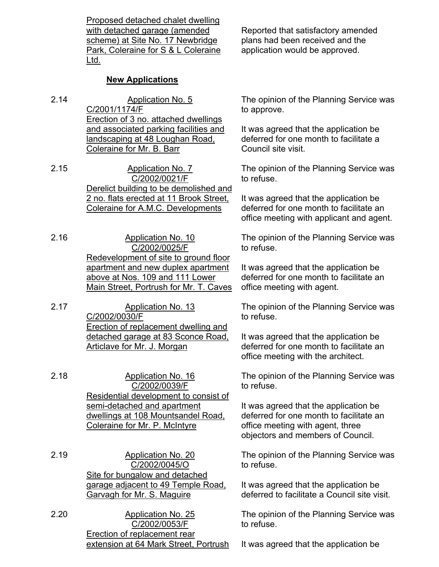Proposed detached chalet dwelling with detached garage (amended scheme) at Site No. 17 Newbridge Park, Coleraine for S & L Coleraine Ltd.

## **New Applications**

- 2.14 Application No. 5 C/2001/1174/F Erection of 3 no. attached dwellings and associated parking facilities and landscaping at 48 Loughan Road, Coleraine for Mr. B. Barr
- 2.15 Application No. 7 C/2002/0021/F Derelict building to be demolished and 2 no. flats erected at 11 Brook Street, Coleraine for A.M.C. Developments

2.16 Application No. 10 C/2002/0025/F Redevelopment of site to ground floor apartment and new duplex apartment above at Nos. 109 and 111 Lower Main Street, Portrush for Mr. T. Caves

2.17 Application No. 13 C/2002/0030/F Erection of replacement dwelling and detached garage at 83 Sconce Road, Articlave for Mr. J. Morgan

2.18 Application No. 16 C/2002/0039/F Residential development to consist of semi-detached and apartment dwellings at 108 Mountsandel Road, Coleraine for Mr. P. McIntyre

2.19 Application No. 20 C/2002/0045/O Site for bungalow and detached garage adjacent to 49 Temple Road, Garvagh for Mr. S. Maguire

2.20 Application No. 25 C/2002/0053/F Erection of replacement rear extension at 64 Mark Street, Portrush Reported that satisfactory amended plans had been received and the application would be approved.

The opinion of the Planning Service was to approve.

It was agreed that the application be deferred for one month to facilitate a Council site visit.

The opinion of the Planning Service was to refuse.

It was agreed that the application be deferred for one month to facilitate an office meeting with applicant and agent.

The opinion of the Planning Service was to refuse.

It was agreed that the application be deferred for one month to facilitate an office meeting with agent.

The opinion of the Planning Service was to refuse.

It was agreed that the application be deferred for one month to facilitate an office meeting with the architect.

The opinion of the Planning Service was to refuse.

It was agreed that the application be deferred for one month to facilitate an office meeting with agent, three objectors and members of Council.

The opinion of the Planning Service was to refuse.

It was agreed that the application be deferred to facilitate a Council site visit.

The opinion of the Planning Service was to refuse.

It was agreed that the application be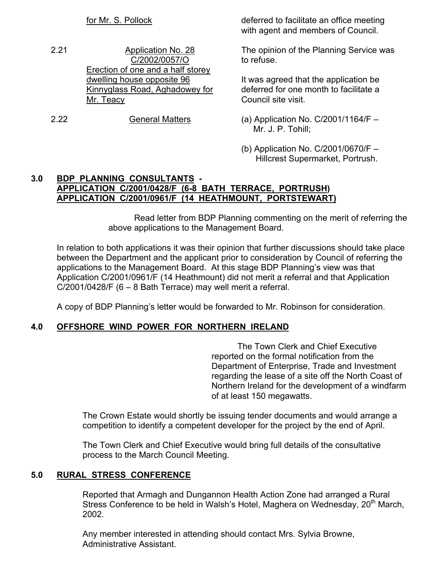- 2.21 Application No. 28 C/2002/0057/O Erection of one and a half storey dwelling house opposite 96 Kinnyglass Road, Aghadowey for Mr. Teacy
- 2.22 General Matters (a) Application No. C/2001/1164/F –

for Mr. S. Pollock deferred to facilitate an office meeting with agent and members of Council.

> The opinion of the Planning Service was to refuse.

It was agreed that the application be deferred for one month to facilitate a Council site visit.

- Mr. J. P. Tohill;
- (b) Application No. C/2001/0670/F Hillcrest Supermarket, Portrush.

### **3.0 BDP PLANNING CONSULTANTS - APPLICATION C/2001/0428/F (6-8 BATH TERRACE, PORTRUSH) APPLICATION C/2001/0961/F (14 HEATHMOUNT, PORTSTEWART)**

 Read letter from BDP Planning commenting on the merit of referring the above applications to the Management Board.

 In relation to both applications it was their opinion that further discussions should take place between the Department and the applicant prior to consideration by Council of referring the applications to the Management Board. At this stage BDP Planning's view was that Application C/2001/0961/F (14 Heathmount) did not merit a referral and that Application C/2001/0428/F (6 – 8 Bath Terrace) may well merit a referral.

A copy of BDP Planning's letter would be forwarded to Mr. Robinson for consideration.

### **4.0 OFFSHORE WIND POWER FOR NORTHERN IRELAND**

 The Town Clerk and Chief Executive reported on the formal notification from the Department of Enterprise, Trade and Investment regarding the lease of a site off the North Coast of Northern Ireland for the development of a windfarm of at least 150 megawatts.

 The Crown Estate would shortly be issuing tender documents and would arrange a competition to identify a competent developer for the project by the end of April.

 The Town Clerk and Chief Executive would bring full details of the consultative process to the March Council Meeting.

### **5.0 RURAL STRESS CONFERENCE**

 Reported that Armagh and Dungannon Health Action Zone had arranged a Rural Stress Conference to be held in Walsh's Hotel, Maghera on Wednesday, 20<sup>th</sup> March, 2002.

 Any member interested in attending should contact Mrs. Sylvia Browne, Administrative Assistant.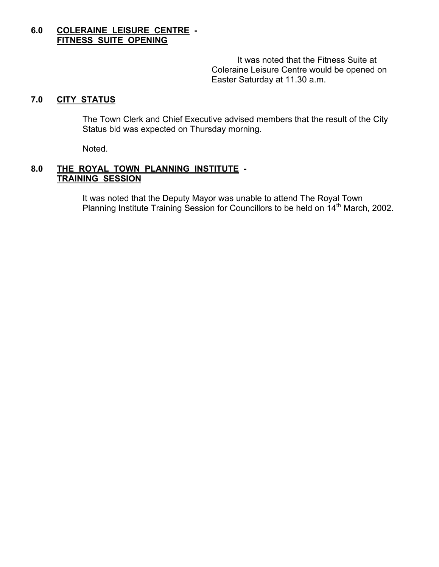## **6.0 COLERAINE LEISURE CENTRE - FITNESS SUITE OPENING**

 It was noted that the Fitness Suite at Coleraine Leisure Centre would be opened on Easter Saturday at 11.30 a.m.

## **7.0 CITY STATUS**

 The Town Clerk and Chief Executive advised members that the result of the City Status bid was expected on Thursday morning.

Noted.

#### **8.0 THE ROYAL TOWN PLANNING INSTITUTE - TRAINING SESSION**

 It was noted that the Deputy Mayor was unable to attend The Royal Town Planning Institute Training Session for Councillors to be held on 14<sup>th</sup> March, 2002.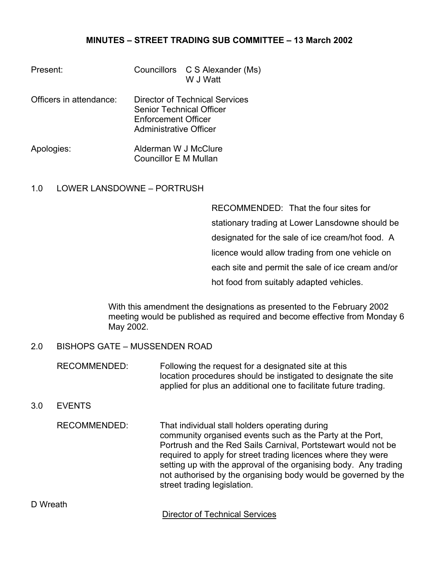## **MINUTES – STREET TRADING SUB COMMITTEE – 13 March 2002**

| Present:                |                                                                                                                    | Councillors C S Alexander (Ms)<br>W J Watt |
|-------------------------|--------------------------------------------------------------------------------------------------------------------|--------------------------------------------|
| Officers in attendance: | Director of Technical Services<br>Senior Technical Officer<br><b>Enforcement Officer</b><br>Administrative Officer |                                            |
| Apologies:              | Alderman W J McClure<br>Councillor E M Mullan                                                                      |                                            |

#### 1.0 LOWER LANSDOWNE – PORTRUSH

RECOMMENDED: That the four sites for stationary trading at Lower Lansdowne should be designated for the sale of ice cream/hot food. A licence would allow trading from one vehicle on each site and permit the sale of ice cream and/or hot food from suitably adapted vehicles.

With this amendment the designations as presented to the February 2002 meeting would be published as required and become effective from Monday 6 May 2002.

### 2.0 BISHOPS GATE – MUSSENDEN ROAD

RECOMMENDED: Following the request for a designated site at this location procedures should be instigated to designate the site applied for plus an additional one to facilitate future trading.

## 3.0 EVENTS

RECOMMENDED: That individual stall holders operating during community organised events such as the Party at the Port, Portrush and the Red Sails Carnival, Portstewart would not be required to apply for street trading licences where they were setting up with the approval of the organising body. Any trading not authorised by the organising body would be governed by the street trading legislation.

**Director of Technical Services**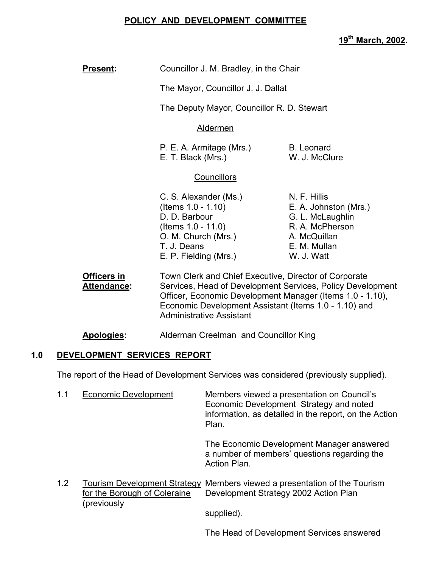## **POLICY AND DEVELOPMENT COMMITTEE**

**19th March, 2002.** 

| <b>Present:</b>                          | Councillor J. M. Bradley, in the Chair                                                                                                                                                                                                                                       |                                                                                                                            |  |
|------------------------------------------|------------------------------------------------------------------------------------------------------------------------------------------------------------------------------------------------------------------------------------------------------------------------------|----------------------------------------------------------------------------------------------------------------------------|--|
|                                          | The Mayor, Councillor J. J. Dallat                                                                                                                                                                                                                                           |                                                                                                                            |  |
|                                          | The Deputy Mayor, Councillor R. D. Stewart                                                                                                                                                                                                                                   |                                                                                                                            |  |
|                                          | <b>Aldermen</b>                                                                                                                                                                                                                                                              |                                                                                                                            |  |
|                                          | P. E. A. Armitage (Mrs.)<br><b>B.</b> Leonard<br>E. T. Black (Mrs.)<br>W. J. McClure                                                                                                                                                                                         |                                                                                                                            |  |
|                                          | <b>Councillors</b>                                                                                                                                                                                                                                                           |                                                                                                                            |  |
|                                          | C. S. Alexander (Ms.)<br>(Items $1.0 - 1.10$ )<br>D. D. Barbour<br>(Items $1.0 - 11.0$ )<br>O. M. Church (Mrs.)<br>T. J. Deans<br>E. P. Fielding (Mrs.)                                                                                                                      | N. F. Hillis<br>E. A. Johnston (Mrs.)<br>G. L. McLaughlin<br>R. A. McPherson<br>A. McQuillan<br>E. M. Mullan<br>W. J. Watt |  |
| <b>Officers in</b><br><b>Attendance:</b> | Town Clerk and Chief Executive, Director of Corporate<br>Services, Head of Development Services, Policy Development<br>Officer, Economic Development Manager (Items 1.0 - 1.10),<br>Economic Development Assistant (Items 1.0 - 1.10) and<br><b>Administrative Assistant</b> |                                                                                                                            |  |

**Apologies:** Alderman Creelman and Councillor King

### **1.0 DEVELOPMENT SERVICES REPORT**

The report of the Head of Development Services was considered (previously supplied).

| 1.1 | <b>Economic Development</b> | Members viewed a presentation on Council's<br>Economic Development Strategy and noted<br>information, as detailed in the report, on the Action<br>Plan. |
|-----|-----------------------------|---------------------------------------------------------------------------------------------------------------------------------------------------------|
|     |                             | The Economic Development Manager answered<br>a number of members' questions regarding the<br>Action Plan.                                               |

1.2 Tourism Development Strategy Members viewed a presentation of the Tourism<br>for the Borough of Coleraine Development Strategy 2002 Action Plan Development Strategy 2002 Action Plan (previously

supplied).

The Head of Development Services answered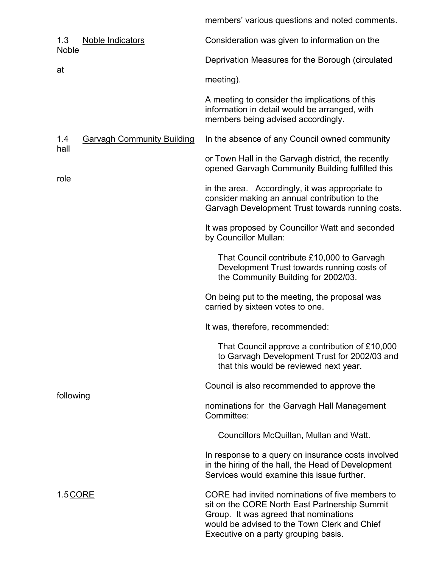members' various questions and noted comments.

| 1.3<br>Noble Indicators<br><b>Noble</b>          | Consideration was given to information on the                                                                                                                                                                                     |  |  |
|--------------------------------------------------|-----------------------------------------------------------------------------------------------------------------------------------------------------------------------------------------------------------------------------------|--|--|
|                                                  | Deprivation Measures for the Borough (circulated                                                                                                                                                                                  |  |  |
| at                                               | meeting).                                                                                                                                                                                                                         |  |  |
|                                                  | A meeting to consider the implications of this<br>information in detail would be arranged, with<br>members being advised accordingly.                                                                                             |  |  |
| 1.4<br><b>Garvagh Community Building</b><br>hall | In the absence of any Council owned community                                                                                                                                                                                     |  |  |
|                                                  | or Town Hall in the Garvagh district, the recently<br>opened Garvagh Community Building fulfilled this                                                                                                                            |  |  |
| role                                             | in the area. Accordingly, it was appropriate to<br>consider making an annual contribution to the<br>Garvagh Development Trust towards running costs.                                                                              |  |  |
|                                                  | It was proposed by Councillor Watt and seconded<br>by Councillor Mullan:                                                                                                                                                          |  |  |
|                                                  | That Council contribute £10,000 to Garvagh<br>Development Trust towards running costs of<br>the Community Building for 2002/03.                                                                                                   |  |  |
|                                                  | On being put to the meeting, the proposal was<br>carried by sixteen votes to one.                                                                                                                                                 |  |  |
|                                                  | It was, therefore, recommended:                                                                                                                                                                                                   |  |  |
|                                                  | That Council approve a contribution of £10,000<br>to Garvagh Development Trust for 2002/03 and<br>that this would be reviewed next year.                                                                                          |  |  |
|                                                  | Council is also recommended to approve the                                                                                                                                                                                        |  |  |
| following                                        | nominations for the Garvagh Hall Management<br>Committee:                                                                                                                                                                         |  |  |
|                                                  | Councillors McQuillan, Mullan and Watt.                                                                                                                                                                                           |  |  |
|                                                  | In response to a query on insurance costs involved<br>in the hiring of the hall, the Head of Development<br>Services would examine this issue further.                                                                            |  |  |
| 1.5 CORE                                         | CORE had invited nominations of five members to<br>sit on the CORE North East Partnership Summit<br>Group. It was agreed that nominations<br>would be advised to the Town Clerk and Chief<br>Executive on a party grouping basis. |  |  |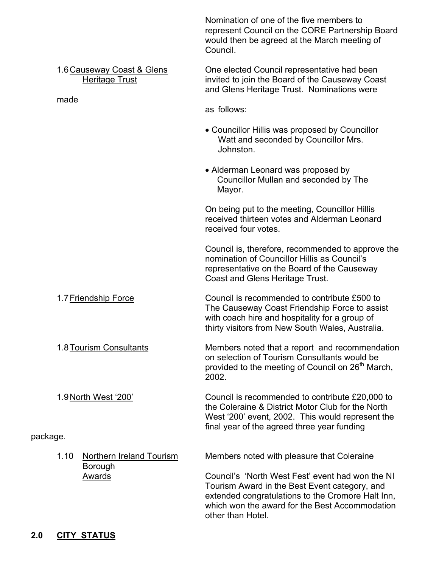|                                                 |                                                             | Nomination of one of the five members to<br>represent Council on the CORE Partnership Board<br>would then be agreed at the March meeting of<br>Council.                                                                       |  |  |
|-------------------------------------------------|-------------------------------------------------------------|-------------------------------------------------------------------------------------------------------------------------------------------------------------------------------------------------------------------------------|--|--|
| made                                            | 1.6 Causeway Coast & Glens<br><b>Heritage Trust</b>         | One elected Council representative had been<br>invited to join the Board of the Causeway Coast<br>and Glens Heritage Trust. Nominations were                                                                                  |  |  |
|                                                 |                                                             | as follows:                                                                                                                                                                                                                   |  |  |
|                                                 |                                                             | • Councillor Hillis was proposed by Councillor<br>Watt and seconded by Councillor Mrs.<br>Johnston.                                                                                                                           |  |  |
|                                                 |                                                             | • Alderman Leonard was proposed by<br>Councillor Mullan and seconded by The<br>Mayor.                                                                                                                                         |  |  |
|                                                 |                                                             | On being put to the meeting, Councillor Hillis<br>received thirteen votes and Alderman Leonard<br>received four votes.                                                                                                        |  |  |
|                                                 |                                                             | Council is, therefore, recommended to approve the<br>nomination of Councillor Hillis as Council's<br>representative on the Board of the Causeway<br>Coast and Glens Heritage Trust.                                           |  |  |
| 1.7 Friendship Force<br>1.8 Tourism Consultants |                                                             | Council is recommended to contribute £500 to<br>The Causeway Coast Friendship Force to assist<br>with coach hire and hospitality for a group of<br>thirty visitors from New South Wales, Australia.                           |  |  |
|                                                 |                                                             | Members noted that a report and recommendation<br>on selection of Tourism Consultants would be<br>provided to the meeting of Council on 26 <sup>th</sup> March,<br>2002.                                                      |  |  |
|                                                 | 1.9 North West '200'                                        | Council is recommended to contribute £20,000 to<br>the Coleraine & District Motor Club for the North<br>West '200' event, 2002. This would represent the<br>final year of the agreed three year funding                       |  |  |
| package.                                        |                                                             |                                                                                                                                                                                                                               |  |  |
| 1.10                                            | <b>Northern Ireland Tourism</b><br>Borough<br><b>Awards</b> | Members noted with pleasure that Coleraine                                                                                                                                                                                    |  |  |
|                                                 |                                                             | Council's 'North West Fest' event had won the NI<br>Tourism Award in the Best Event category, and<br>extended congratulations to the Cromore Halt Inn,<br>which won the award for the Best Accommodation<br>other than Hotel. |  |  |

# **2.0 CITY STATUS**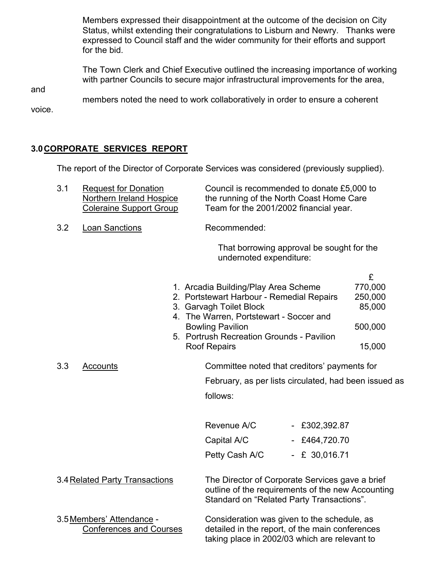Members expressed their disappointment at the outcome of the decision on City Status, whilst extending their congratulations to Lisburn and Newry. Thanks were expressed to Council staff and the wider community for their efforts and support for the bid.

 The Town Clerk and Chief Executive outlined the increasing importance of working with partner Councils to secure major infrastructural improvements for the area,

and

members noted the need to work collaboratively in order to ensure a coherent

voice.

## **3.0 CORPORATE SERVICES REPORT**

The report of the Director of Corporate Services was considered (previously supplied).

| 3.1                            | <b>Request for Donation</b><br>Northern Ireland Hospice<br><b>Coleraine Support Group</b> |                                                                                                                                                   | Council is recommended to donate £5,000 to<br>the running of the North Coast Home Care<br>Team for the 2001/2002 financial year.                                                                                                                                                                       |                                                       |                                                        |
|--------------------------------|-------------------------------------------------------------------------------------------|---------------------------------------------------------------------------------------------------------------------------------------------------|--------------------------------------------------------------------------------------------------------------------------------------------------------------------------------------------------------------------------------------------------------------------------------------------------------|-------------------------------------------------------|--------------------------------------------------------|
| 3.2                            | <b>Loan Sanctions</b>                                                                     |                                                                                                                                                   | Recommended:                                                                                                                                                                                                                                                                                           |                                                       |                                                        |
|                                |                                                                                           |                                                                                                                                                   | undernoted expenditure:                                                                                                                                                                                                                                                                                | That borrowing approval be sought for the             |                                                        |
| 3.3                            | Accounts                                                                                  |                                                                                                                                                   | 1. Arcadia Building/Play Area Scheme<br>2. Portstewart Harbour - Remedial Repairs<br>3. Garvagh Toilet Block<br>4. The Warren, Portstewart - Soccer and<br><b>Bowling Pavilion</b><br>5. Portrush Recreation Grounds - Pavilion<br><b>Roof Repairs</b><br>Committee noted that creditors' payments for |                                                       | £<br>770,000<br>250,000<br>85,000<br>500,000<br>15,000 |
|                                |                                                                                           |                                                                                                                                                   | February, as per lists circulated, had been issued as                                                                                                                                                                                                                                                  |                                                       |                                                        |
|                                |                                                                                           |                                                                                                                                                   | follows:                                                                                                                                                                                                                                                                                               |                                                       |                                                        |
|                                |                                                                                           |                                                                                                                                                   | Revenue A/C<br>Capital A/C<br>Petty Cash A/C                                                                                                                                                                                                                                                           | $-$ £302,392.87<br>$-$ £464,720.70<br>$- E 30,016.71$ |                                                        |
| 3.4 Related Party Transactions |                                                                                           | The Director of Corporate Services gave a brief<br>outline of the requirements of the new Accounting<br>Standard on "Related Party Transactions". |                                                                                                                                                                                                                                                                                                        |                                                       |                                                        |
|                                | 3.5 Members' Attendance -<br><b>Conferences and Courses</b>                               |                                                                                                                                                   | Consideration was given to the schedule, as<br>detailed in the report, of the main conferences<br>taking place in 2002/03 which are relevant to                                                                                                                                                        |                                                       |                                                        |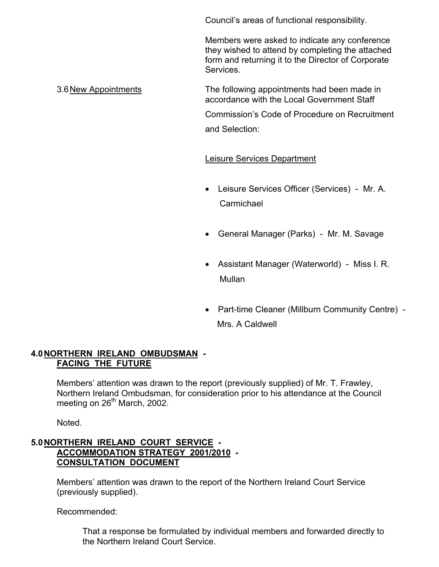Council's areas of functional responsibility.

 Members were asked to indicate any conference they wished to attend by completing the attached form and returning it to the Director of Corporate Services.

3.6 New Appointments The following appointments had been made in accordance with the Local Government Staff

Commission's Code of Procedure on Recruitment

and Selection:

## Leisure Services Department

- Leisure Services Officer (Services) Mr. A. Carmichael
- General Manager (Parks) Mr. M. Savage
- Assistant Manager (Waterworld) Miss I. R. Mullan
- Part-time Cleaner (Millburn Community Centre) Mrs. A Caldwell

### **4.0 NORTHERN IRELAND OMBUDSMAN - FACING THE FUTURE**

Members' attention was drawn to the report (previously supplied) of Mr. T. Frawley, Northern Ireland Ombudsman, for consideration prior to his attendance at the Council meeting on  $26<sup>th</sup>$  March, 2002.

Noted.

## **5.0 NORTHERN IRELAND COURT SERVICE - ACCOMMODATION STRATEGY 2001/2010 - CONSULTATION DOCUMENT**

Members' attention was drawn to the report of the Northern Ireland Court Service (previously supplied).

Recommended:

 That a response be formulated by individual members and forwarded directly to the Northern Ireland Court Service.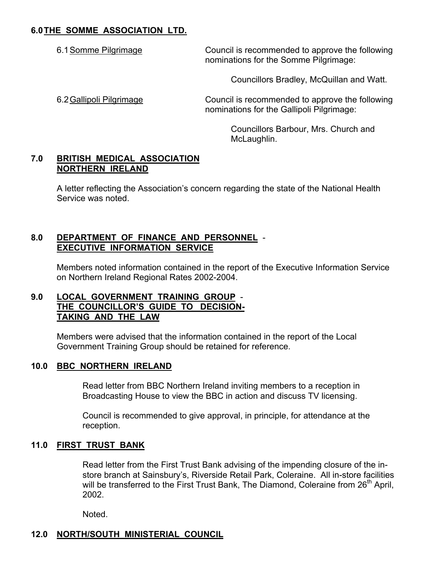## **6.0 THE SOMME ASSOCIATION LTD.**

6.1 Somme Pilgrimage Council is recommended to approve the following nominations for the Somme Pilgrimage:

Councillors Bradley, McQuillan and Watt.

6.2 Gallipoli Pilgrimage Council is recommended to approve the following nominations for the Gallipoli Pilgrimage:

> Councillors Barbour, Mrs. Church and McLaughlin.

## **7.0 BRITISH MEDICAL ASSOCIATION NORTHERN IRELAND**

 A letter reflecting the Association's concern regarding the state of the National Health Service was noted.

## **8.0 DEPARTMENT OF FINANCE AND PERSONNEL** - **EXECUTIVE INFORMATION SERVICE**

Members noted information contained in the report of the Executive Information Service on Northern Ireland Regional Rates 2002-2004.

### **9.0 LOCAL GOVERNMENT TRAINING GROUP** - **THE COUNCILLOR'S GUIDE TO DECISION- TAKING AND THE LAW**

 Members were advised that the information contained in the report of the Local Government Training Group should be retained for reference.

## **10.0 BBC NORTHERN IRELAND**

 Read letter from BBC Northern Ireland inviting members to a reception in Broadcasting House to view the BBC in action and discuss TV licensing.

 Council is recommended to give approval, in principle, for attendance at the reception.

## **11.0 FIRST TRUST BANK**

 Read letter from the First Trust Bank advising of the impending closure of the in store branch at Sainsbury's, Riverside Retail Park, Coleraine. All in-store facilities will be transferred to the First Trust Bank, The Diamond, Coleraine from 26<sup>th</sup> April, 2002.

Noted.

# **12.0 NORTH/SOUTH MINISTERIAL COUNCIL**